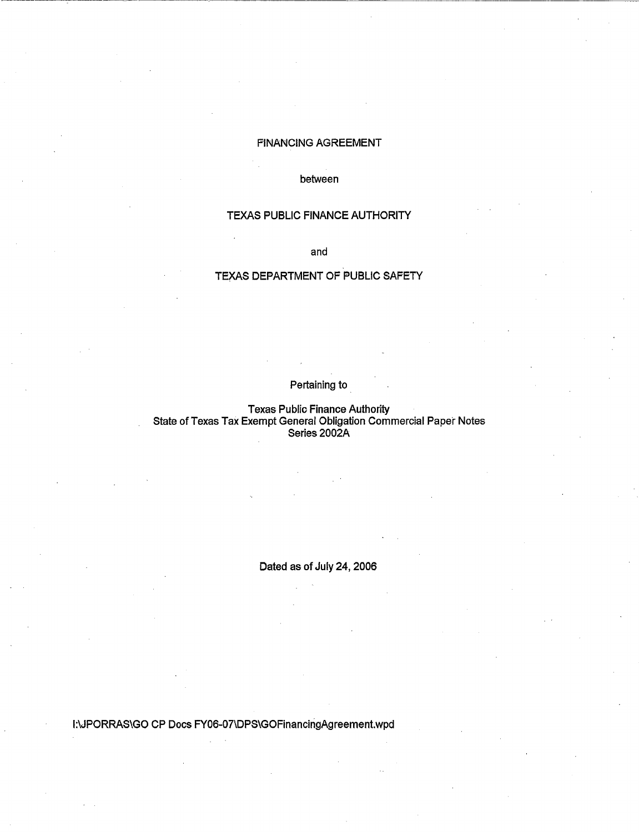## FINANCING AGREEMENT

~·---------:------------.------------------------------

between

## TEXAS PUBLIC FINANCE AUTHORITY

and

# TEXAS DEPARTMENT OF PUBLIC SAFETY

# Pertaining to

Texas Public Finance Authority State of Texas Tax Exempt General Obligation Commercial Paper Notes Series 2002A

Dated as of July 24, 2006

1:\JPORRAS\GO CP Docs FY06-07\DPS\GOFinancingAgreement.wpd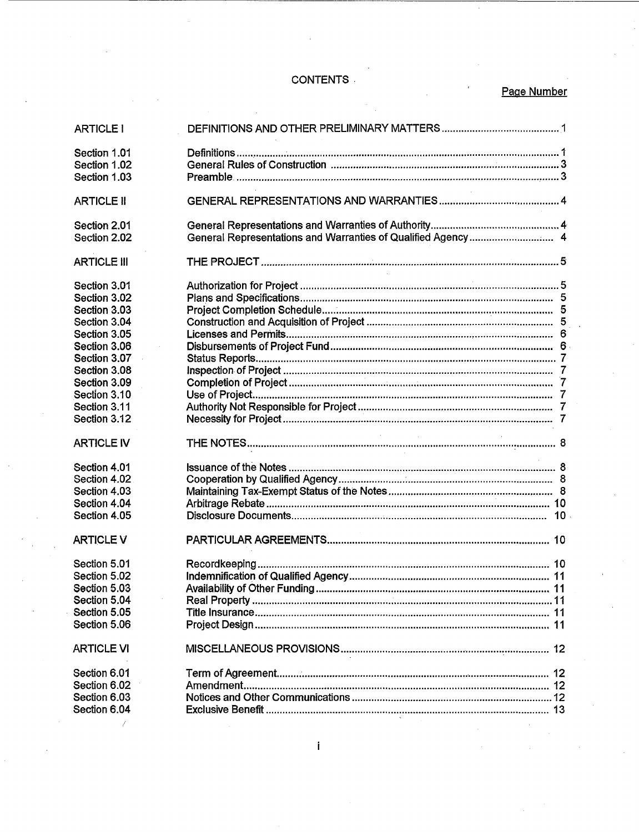# **CONTENTS**

# Page Number

| <b>ARTICLE I</b>             |                                                              |  |
|------------------------------|--------------------------------------------------------------|--|
| Section 1.01                 |                                                              |  |
| Section 1.02                 |                                                              |  |
| Section 1.03                 |                                                              |  |
|                              |                                                              |  |
| <b>ARTICLE II</b>            |                                                              |  |
| Section 2.01                 |                                                              |  |
| Section 2.02                 | General Representations and Warranties of Qualified Agency 4 |  |
| <b>ARTICLE III</b>           |                                                              |  |
| Section 3.01                 |                                                              |  |
| Section 3.02                 |                                                              |  |
| Section 3.03                 |                                                              |  |
| Section 3.04                 |                                                              |  |
| Section 3.05                 |                                                              |  |
| Section 3.06                 |                                                              |  |
| Section 3.07                 |                                                              |  |
| Section 3.08                 |                                                              |  |
| Section 3.09                 |                                                              |  |
| Section 3.10                 |                                                              |  |
| Section 3.11                 |                                                              |  |
| Section 3.12                 |                                                              |  |
|                              |                                                              |  |
| <b>ARTICLE IV</b>            | <b>Contractor</b><br>$\sim 10^{-11}$                         |  |
|                              |                                                              |  |
| Section 4.01                 |                                                              |  |
| Section 4.02                 |                                                              |  |
| Section 4.03                 |                                                              |  |
| Section 4.04                 |                                                              |  |
| Section 4.05                 |                                                              |  |
| <b>ARTICLE V</b>             |                                                              |  |
| Section 5.01                 |                                                              |  |
| Section 5.02                 |                                                              |  |
| Section 5.03                 |                                                              |  |
| Section 5.04                 |                                                              |  |
| Section 5.05                 |                                                              |  |
| Section 5.06                 |                                                              |  |
| <b>ARTICLE VI</b>            |                                                              |  |
| Section 6.01                 |                                                              |  |
| Section 6.02                 |                                                              |  |
| Section 6.03<br>Section 6.04 |                                                              |  |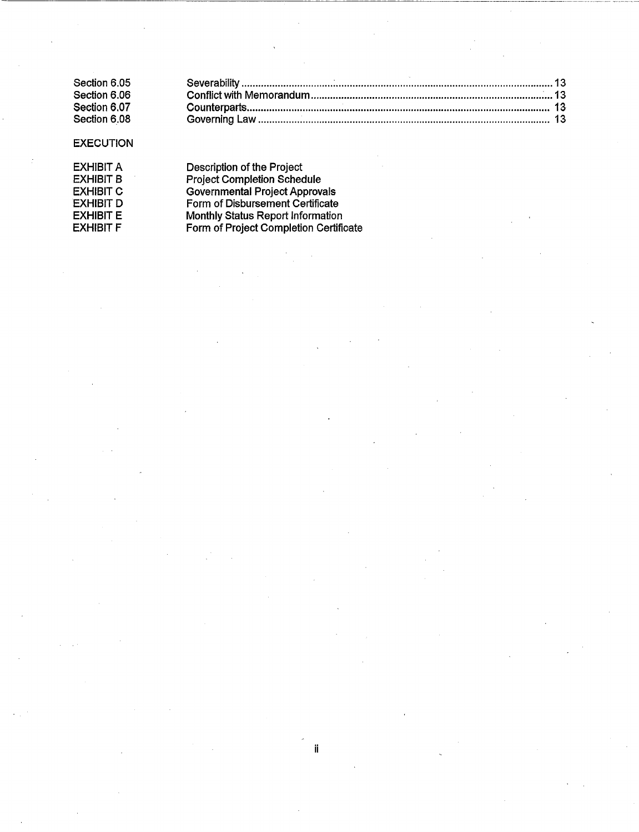| Section 6.05 |  |
|--------------|--|
| Section 6.06 |  |
| Section 6.07 |  |
| Section 6.08 |  |

## **EXECUTION**

| EXHIBIT A         |  |
|-------------------|--|
| EXHIBIT B         |  |
| EXHIBIT C         |  |
| <b>EXHIBIT D</b>  |  |
| EXHIBIT E         |  |
| EXHIBI <b>T F</b> |  |

Description of the Project Project Completion Schedule Governmental Project Approvals Form of Disbursement Certificate Monthly Status Report Information Form of Project Completion Certificate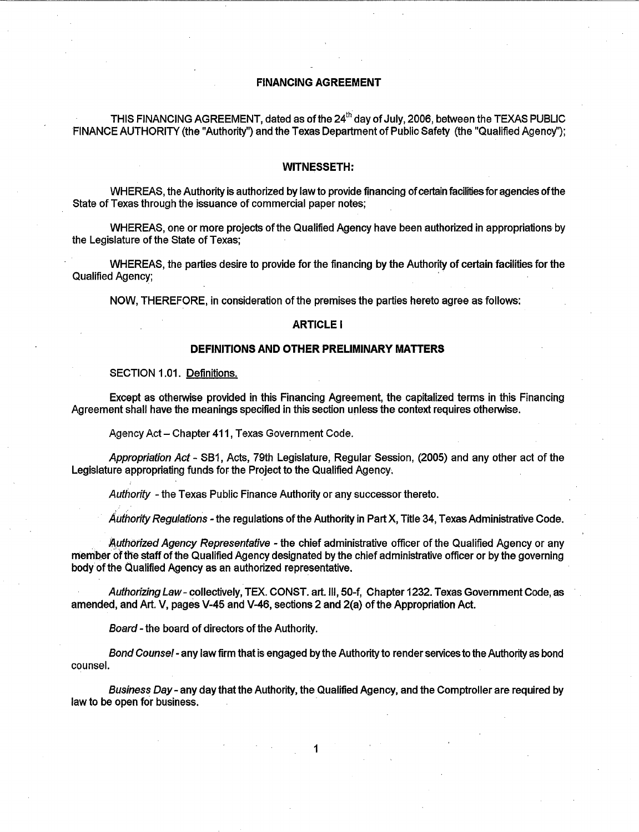### FINANCING AGREEMENT

THIS FINANCING AGREEMENT, dated as of the  $24<sup>th</sup>$  day of July, 2006, between the TEXAS PUBLIC FINANCE AUTHORITY (the "Authority") and the Texas Department of Public Safety (the "Qualified Agency");

#### WITNESSETH:

WHEREAS, the Authority is authorized by law to provide financing of certain facilities for agencies of the State of Texas through the issuance of commercial paper notes;

WHEREAS, one or more projects of the Qualified Agency have been authorized in appropriations by the Legislature of the State of Texas;

WHEREAS, the parties desire to provide for the financing by the Authority of certain facilities for the Qualified Agency;

NOW, THEREFORE, in consideration of the premises the parties hereto agree as follows:

#### ARTICLE I

## DEFINITIONS AND OTHER PRELIMINARY MATTERS

SECTION 1.01. Definitions.

Except as otherwise provided in this Financing Agreement, the capitalized terms in this Financing Agreement shall have the meanings specified in this section unless the context requires otherwise.

Agency Act- Chapter 411, Texas Government Code.

Appropriation Act- S81, Acts, 79th Legislature, Regular Session, (2005) and any other act of the Legislature appropriating funds for the Project to the Qualified Agency.

Authority - the Texas Public Finance Authority or any successor thereto.

Authority Regulations - the regulations of the Authority in Part X, Title 34, Texas Administrative Code.

Authorized Agency Representative - the chief administrative officer of the Qualified Agency or any member of the staff of the Qualified Agency designated by the chief administrative officer or by the governing body of the Qualified Agency as an authorized representative.

Authorizing Law- collectively, TEX. CONST. art. Ill, 50-f, Chapter 1232. Texas Government Code, as amended, and Art. V, pages V-45 and V-46, sections 2 and 2(a) of the Appropriation Act.

Board- the board of directors of the Authority.

Bond Counsel- any law firm that is engaged by the Authority to render services to the Authority as bond counsel.

Business Day - any day that the Authority, the Qualified Agency, and the Comptroller are required by law to be open for business.

1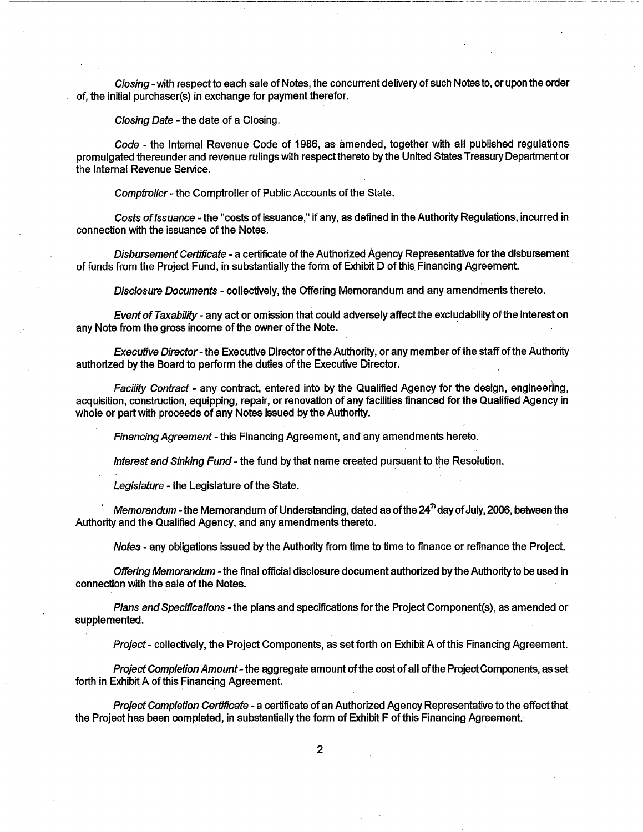Closing- with respect to each sale of Notes, the concurrent delivery of such Notes to, or upon the order of, the initial purchaser(s) in exchange for payment therefor.

-----------------~---- -~- -- --

Closing Date - the date of a Closing.

Code- the Internal Revenue Code of 1986, as amended, together with all published regulations promulgated thereunder and revenue rulings with respect thereto by the United States Treasury Department or the Internal Revenue Service.

Comptroller- the Comptroller of Public Accounts of the State.

Costs of Issuance- the "costs of issuance," if any, as defined in the Authority Regulations, incurred in connection with the issuance of the Notes.

Disbursement Certificate - a certificate of the Authorized Agency Representative for the disbursement of funds from the Project Fund, in substantially the form of Exhibit D of this\_ Financing Agreement.

Disclosure Documents - collectively, the Offering Memorandum and any amendments thereto.

Event of Taxability - any act or omission that could adversely affect the excludability of the interest on any Note from the gross income of the owner of the Note.

Executive Director- the Executive Director of the Authority, or any member of the staff of the Authority authorized by the Board to perform the duties of the Executive Director.

Facility Contract - any contract, entered into by the Qualified Agency for the design, engineering, acquisition, construction, equipping, repair, or renovation of any facilities financed for the Qualified Agency in whole or part with proceeds of any Notes issued by the Authority.

Financing Agreement - this Financing Agreement, and any amendments hereto.

Interest and Sinking Fund- the fund by that name created pursuant to the Resolution.

Legislature - the Legislature of the State.

Memorandum - the Memorandum of Understanding, dated as of the  $24<sup>th</sup>$  day of July, 2006, between the Authority and the Qualified Agency, and any amendments thereto.

Notes - any obligations issued by the Authority from time to time to finance or refinance the Project.

Offering Memorandum - the final official disclosure document authorized by the Authority to be used in connection with the sale of the Notes.

Plans and Specifications - the plans and specifications for the Project Component(s), as amended or supplemented.

Project - collectively, the Project Components, as set forth on Exhibit A of this Financing Agreement.

Project Completion Amount-the aggregate amount of the cost of all of the Project Components, as set forth in Exhibit A of this Financing Agreement.

Project Completion Certificate - a certificate of an Authorized Agency Representative to the effect that. the Project has been completed, in substantially the form of Exhibit F of this Financing Agreement.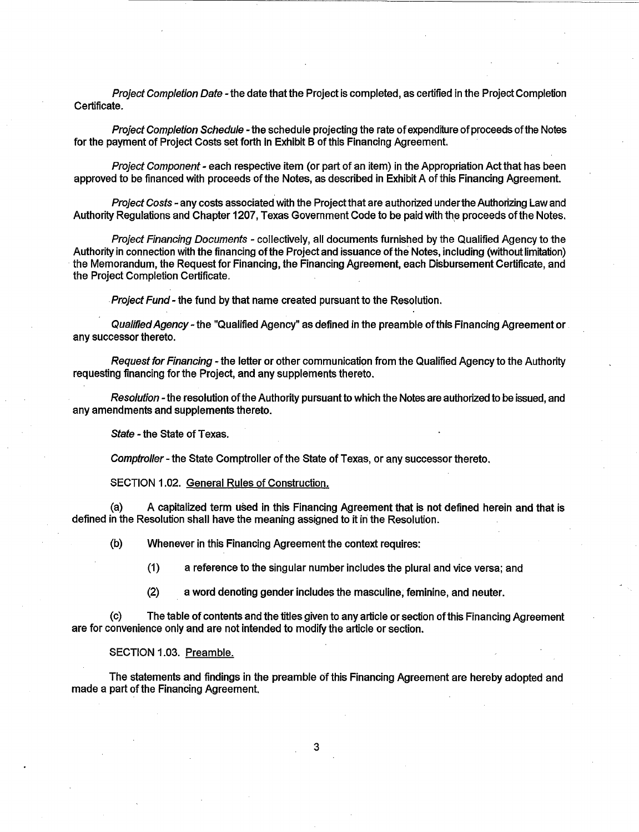Project Completion Date - the date that the Project is completed, as certified in the Project Completion Certificate.

Project Completion Schedule - the schedule projecting the rate of expenditure of proceeds of the Notes for the payment of Project Costs set forth in Exhibit B of this Financing Agreement.

Project Component - each respective item (or part of an item) in the Appropriation Act that has been approved to be financed with proceeds of the Notes, as described in Exhibit A of this Financing Agreement.

Project Costs - any costs associated with the Project that are authorized under the Authorizing Law and Authority Regulations and Chapter 1207, Texas Government Code to be paid with the proceeds of the Notes.

Project Financing Documents - collectively, all documents furnished by the Qualified Agency to the Authority in connection with the financing of the Project and issuance of the Notes, including (without limitation) the Memorandum, the Request for Financing, the Financing Agreement, each Disbursement Certificate, and the Project Completion Certificate .

. Project Fund- the fund by that name created pursuant to the Resolution.

Qualified Agency- the "Qualified Agency" as defined in the preamble of this Financing Agreement or any successor thereto.

Request for Financing- the letter or other communication from the Qualified Agency to the Authority requesting financing for the Project, and any supplements thereto.

Resolution - the resolution of the Authority pursuant to which the Notes are authorized to be issued, and any amendments and supplements thereto.

State - the State of Texas.

Comptroller- the State Comptroller of the State of Texas, or any successor thereto.

SECTION 1.02. General Rules of Construction.

(a) A capitalized term used in this Financing Agreement that is not defined herein and that is defined in the Resolution shall have the meaning assigned to it in the Resolution.

(b) Whenever in this Financing Agreement the context requires:

(1) a reference to the singular number includes the plural and vice versa; and

(2) a word denoting gender includes the masculine; feminine, and neuter.

(c) The table of contents and the titles given to any article or section ofthis Financing Agreement are for convenience only and are not intended to modify the article or section.

SECTION 1.03. Preamble.

The statements and findings in the preamble of this Financing Agreement are hereby adopted and made a part of the Financing Agreement.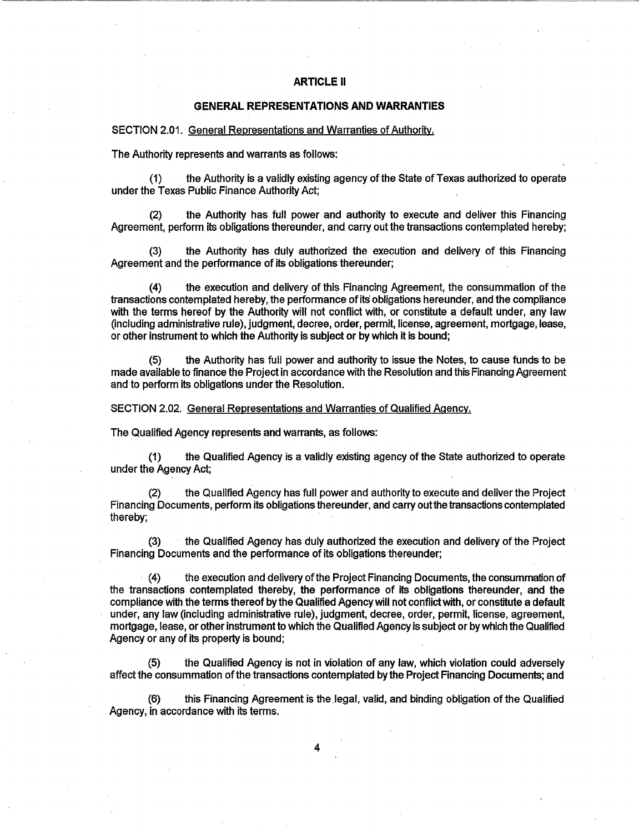#### **ARTICLE** II

#### **GENERAL REPRESENTATIONS AND WARRANTIES**

SECTION 2.01. General Representations and Warranties of Authoritv.

The Authority represents and warrants as follows:

(1) the Authority is a validly existing agency of the State of Texas authorized to operate under the Texas Public Finance Authority Act;

(2) the Authority has full power and authority to execute and deliver this Financing Agreement, perform its obligations thereunder, and carry out the transactions contemplated hereby;

(3) the Authority has duly authorized the execution and delivery of this Financing Agreement and the performance of its obligations thereunder;

(4) the execution and delivery of this Financing Agreement, the consummation of the transactions contemplated hereby, the performance of its obligations hereunder, and the compliance with the terms hereof by the Authority will not conflict with, or constitute a default under, any law (including administrative rule), judgment, decree, order, permit, license, agreement, mortgage, lease, or other instrument to which the Authority is subject or by which it is bound;

(5) the Authority has full power and authority to issue the Notes, to cause funds to be made available to finance the Project in accordance with the Resolution and this Financing Agreement and to perform its obligations under the Resolution.

SECTION 2.02. General Representations and Warranties of Qualified Agency.

The Qualified Agency represents and warrants, as follows:

(1) the Qualified Agency is a validly existing agency of the State authorized to operate under the Agency Act;

(2) the Qualified Agency has full power and authority to execute and deliver the Project Financing Documents, perform its obligations thereunder, and carry out the transactions contemplated thereby;

(3) the Qualified Agency has duly authorized the execution and delivery of the Project Financing Documents and the performance of its obligations thereunder;

(4) the execution and delivery of the Project Financing Documents, the consummation of the transactions contemplated thereby, the performance of its obligations thereunder, and the compliance with the terms thereof by the Qualified Agency will not conflict with, or constitute a default under, any law (including administrative rule), judgment, decree, order, permit, license, agreement, mortgage, lease, or other instrument to which the Qualified Agency is subject or by which the Qualified Agency or any of its property is bound;

the Qualified Agency is not in violation of any law, which violation could adversely affect the consummation of the transactions contemplated by the Project Financing Documents; and

(6) this Financing Agreement is the legal, valid, and binding obligation of the Qualified Agency, in accordance with its terms.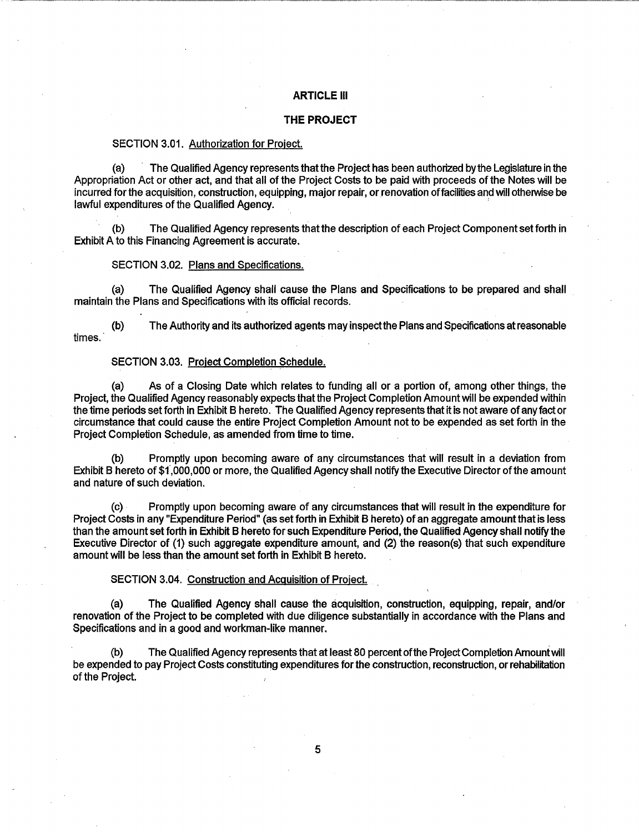#### ARTICLE Ill

### **THE PROJECT**

#### SECTION 3.01. Authorization for Project.

(a) The Qualified Agency represents thatthe Project has been authorized by the Legislature in the Appropriation Act or other act, and that all of the Project Costs to be paid with proceeds of the Notes will be incurred for the acquisition, construction, equipping, major repair, or renovation of facilities and will otherwise be lawful expenditures of the Qualified Agency.

(b) The Qualified Agency represents that the description of each Project Component set forth in Exhibit A to this Financing Agreement is accurate.

#### SECTION 3.02. Plans and Specifications.

(a) The Qualified Agency shall cause the Plans and Specifications to be prepared and shall maintain the Plans and Specifications with its official records.

(b) The Authority and its authorized agents may inspectthe Plans and Specifications at reasonable times.

#### SECTION 3.03. Project Completion Schedule.

(a) As of a Closing Date which relates to funding all or a portion of, among other things, the Project, the Qualified Agency reasonably expects that the Project Completion Amount will be expended within the time periods set forth in Exhibit 8 hereto. The Qualified Agency represents that it is not aware of any fact or circumstance that could cause the entire Project Completion Amount not to be expended as set forth in the Project Completion Schedule, as amended from time to time.

(b) Promptly upon becoming aware of any circumstances that will result in a deviation from Exhibit 8 hereto of \$f,OOO,OOO or more, the Qualified Agency shall notify the Executive Director of the amount and nature of such deviation.

(c) · Promptly upon becoming aware of any circumstances that will result in the expenditure for Project Costs in any "Expenditure Period" (as set forth in Exhibit 8 hereto) of an aggregate amount that is less than the amount set forth in Exhibit 8 hereto for such Expenditure Period, the Qualified Agency shall notify the Executive Director of (1) such aggregate expenditure amount, and (2) the reason(s) that such expenditure amount will be less than the amount set forth in Exhibit 8 hereto.

#### SECTION 3.04. Construction and Acquisition of Project.

(a) The Qualified Agency shall cause the acquisition, construction, equipping, repair, and/or renovation of the Project to be completed with due diligence substantially in accordance with the Plans and Specifications and in a good and workman-like manner.

(b) The Qualified Agency represents that at least 80 percent of the Project Completion Amount will be expended to pay Project Costs constituting expenditures for the construction, reconstruction, or rehabilitation of the Project.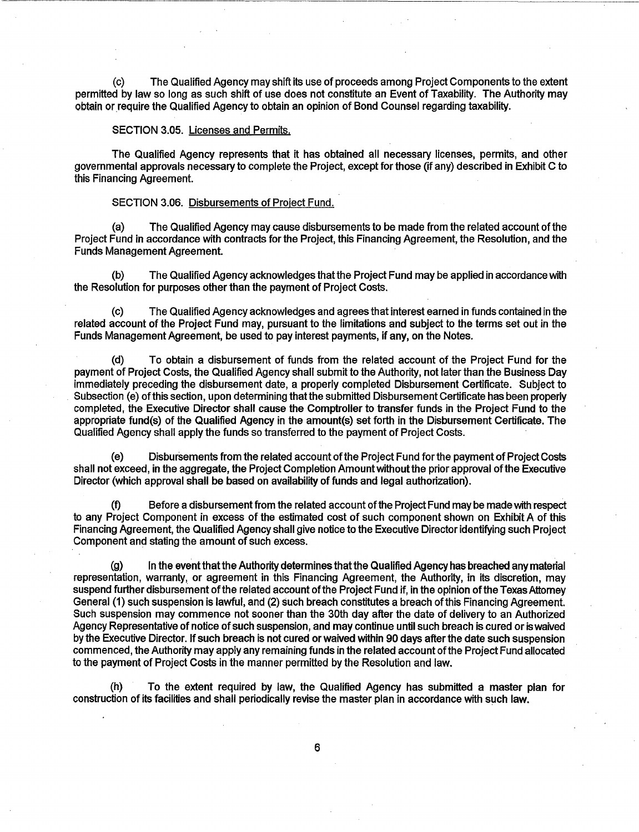(c) The Qualified Agency may shift its use of proceeds among Project Components to the extent permitted by law so long as such shift of use does not constitute an Event of Taxability. The Authority may obtain or require the Qualified Agency to obtain an opinion of Bond Counsel regarding taxability.

#### SECTION 3.05. Licenses and Permits.

The Qualified Agency represents that it has obtained all necessary licenses, permits, and other governmental approvals necessary to complete the Project, except for those (if any) described in Exhibit C to this Financing Agreement.

#### SECTION 3.06. Disbursements of Project Fund.

(a) The Qualified Agency may cause disbursements to be made from the related account ofthe Project Fund in accordance with contracts for the Project, this Financing Agreement, the Resolution, and the Funds Management Agreement.

(b) The Qualified Agency acknowledges that the Project Fund may be applied in accordance with the Resolution for purposes other than the payment of Project Costs.

(c) The Qualified Agency acknowledges and agrees that interest earned in funds contained in the related account of the Project Fund may, pursuant to the limitations and subject to the terms set out in the Funds Management Agreement, be used to pay interest payments, if any, on the Notes.

(d) To obtain a disbursement of funds from the related account of the Project Fund for the payment of Project Costs, the Qualified Agency shall submit to the Authority, not later than the Business Day immediately preceding the disbursement date, a properly completed Disbursement Certificate. Subject to Subsection (e) of this section, upon determining that the submitted Disbursement Certificate has been properly completed, the Executive Director shall cause the Comptroller to transfer funds in the Project Fund to the appropriate fund(s) of the Qualified Agency in the amount(s) set forth in the Disbursement Certificate. The Qualified Agency shall apply the funds so transferred to the payment of Project Costs.

(e) Disbursements from the related account of the Project Fund for the payment of Project Costs shall not exceed, in the aggregate, the Project Completion Amount without the prior approval of the Executive Director (which approval shall be based on availability of funds and legal authorization).

Before a disbursement from the related account of the Project Fund may be made with respect to any Project Component in excess of the estimated cost of such component shown on Exhibit A of this Financing Agreement, the Qualified Agency shall give notice to the Executive Director identifying such Project Component and stating the amount of such excess.

(g) In the event that the Authority determines that the Qualified Agency has breached any material representation, warranty, or agreement in this Financing Agreement, the Authority, in its discretion, may suspend further disbursement of the related account of the Project Fund if, in the opinion of the Texas Attorney General (1) such suspension is lawful, and (2) such breach constitutes a breach of this Financing Agreement. Such suspension may commence not sooner than the 30th day after the date of delivery to an Authorized Agency Representative of notice of such suspension, and may continue until such breach is cured or is waived by the Executive Director. If such breach is not cured or waived within 90 days after the date such suspension commenced, the Authority may apply any remaining funds in the related account ofthe Project Fund allocated to the payment of Project Costs in the manner permitted by the Resolution and law.

(h) To the extent required by law, the Qualified Agency has submitted a master plan for construction of its facilities and shall periodically revise the master plan in accordance with such law.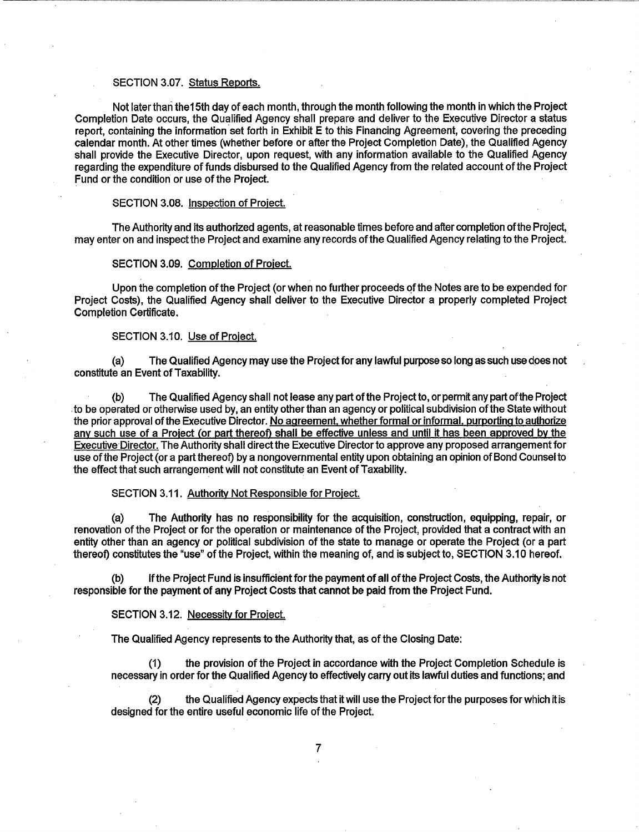#### SECTION 3.07. Status Reports.

Not later thari the 15th day of each month, through the month following the month in which the Project Completion Date occurs, the Qualified Agency shall prepare and deliver to the Executive Director a status report, containing the information set forth in Exhibit E to this Financing Agreement, covering the preceding calendar month. At other times (whether before or after the Project Completion Date), the Qualified Agency shall provide the Executive Director, upon request, with any information available to the Qualified Agency regarding the expenditure of funds disbursed to the Qualifieq Agency from the related account of the Project Fund or the condition or use of the Project.

#### SECTION 3.08. Inspection of Project.

The Authority and its authorized agents, at reasonable times before and after completion of the Project, may enter on and inspect the Project and examine any records of the Qualified Agency relating to the Project.

## SECTION 3.09. Completion of Project.

Upon the completion of the Project (or when no further proceeds qfthe Notes are to be expended for Project Costs), the Qualified Agency shall deliver to the Executive Director a properly completed Project Completion Certificate.

## SECTION 3.10. Use of Project.

(a) The Qualified Agency may use the Project for any lawful purpose so long as such use does not constitute an Event of Taxability.

(b) The Qualified Agency shall not lease any part of the Projectto, or permit any part of the Project . to be operated or otherwise used by, an entity other than an agency or political subdivision of the State without the prior approval of the Executive Director. No agreement. whether formal or informal, purporting to authorize any such use of a Project (or part thereof) shall be effective unless and until it has been approved by the Executive Director. The Authority shall direct the Executive Director to approve any proposed arrangement for use of the Project (or a part thereof) by a nongovernmental entity upon obtaining an opinion of Bond Counsel to the effect that such arrangement will not constitute an Event of Taxability.

## SECTION 3.11. Authoritv Not Responsible for Project.

(a) The Authority has no responsibility for the acquisition, construction, equipping, repair, or renovation of the Project or for the operation or maintenance of the Project, provided that a contract with an entity other than an agency or political subdivision of the state to manage or operate the Project (or a part thereof) constitutes the "use" of the Project, within the meaning of, and is subject to, SECTION 3.10 hereof.

(b) If the Project Fund is insufficient for the payment of all of the Project Costs, the Authority is not responsible for the payment of any Project Costs that cannot be paid from the Project Fund.

#### SECTION 3.12. Necessity for Project.

The Qualified Agency represents to the Authority that, as of the Closing Date:

(1) the provision of the Project in accordance with the Project Completion Schedule is necessary in order for the Qualified Agency to effectively carry out its lawful duties and functions; and

(2) the Qualified Agency expects that it will use the Project for the purposes for which it is designed for the entire useful economic life of the Project.

7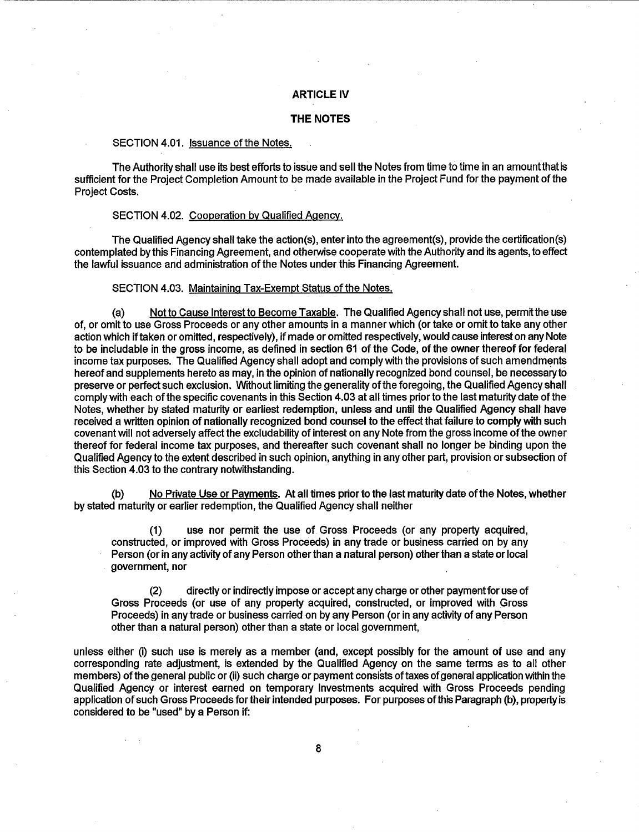#### **ARTICLE IV**

#### **THE NOTES**

### SECTION 4.01. Issuance of the Notes.

The Authority shall use its best efforts to issue and sell the Notes from time to time in an amountthat is sufficient for the Project Completion Amount to be made available in the Project Fund for the payment of the Project Costs.

#### SECTION 4.02. Cooperation by Qualified Agency.

The Qualified Agency shall take the action(s), enter into the agreement(s), provide the certification(s) contemplated by this Financing Agreement, and otherwise cooperate with the Authority and its agents, to effect the lawful issuance and administration of the Notes under this Financing Agreement.

#### SECTION 4.03. Maintaining Tax-Exempt Status of the Notes.

(a) Not to Cause Interest to Become Taxable. The Qualified Agency shall not use, permit the use of, or omit to use Gross Proceeds or any other amounts in a manner which (or take or omit to take any other action which if taken or omitted, respectively), if made or omitted respectively, would cause interest on any Note to be includable in the gross income, as defined in section 61.of the Code, of the owner thereof for federal income tax purposes. The Qualified Agency shall adopt and comply with the provisions of such amendments hereof and supplements hereto as may, in the opinion of nationally recognized bond counsel, be necessary to preserve or perfect such exclusion. Without limiting the generality ofthe foregoing, the Qualified Agency shall comply with each of the specific covenants in this Section 4.03 at all times prior to the last maturity date of the Notes, whether by stated maturity or earliest redemption, unless and until the Qualified Agency shall have received a written opinion of nationally recognized bond counsel to the effect that failure to comply with such covenant will not adversely affect the excludability of interest on any Note from the gross income ofthe owner thereof for federal income tax purposes, and thereafter such covenant shall no longer be binding upon the Qualified Agency to the extent described in such opinion, anything in any other part, provision or subsection of this Section 4.03 to the contrary notwithstanding.

(b) No Private Use or Payments. At all times prior to the last maturity date of the Notes, whether by stated maturity or earlier redemption, the Qualified Agency shall neither

use nor permit the use of Gross Proceeds (or any property acquired, constructed, or improved with Gross Proceeds) in any trade or business carried on by any Person (or in any activity of any Person other than a natural person) other than a state or local government, nor

(2) directly or indirectly impose or accept any charge or other payment for use of Gross Proceeds (or use of any property acquired, constructed, or improved with Gross Proceeds) in any trade or business carried on by any Person (or in any activity of any Person other than a natural person) other than a state or local government,

unless either (i) such use is merely as a member (and, except possibly for the amount of use and any corresponding rate adjustment, is extended by the Qualified Agency on the same terms as to all other members) of the general public or (ii) such charge or payment consists of taxes of general application within the Qualified Agency or interest earned on temporary Investments acquired with Gross Proceeds pending application of such Gross Proceeds for their intended purposes. For purposes of this Paragraph (b), property is considered to be "used" by a Person if: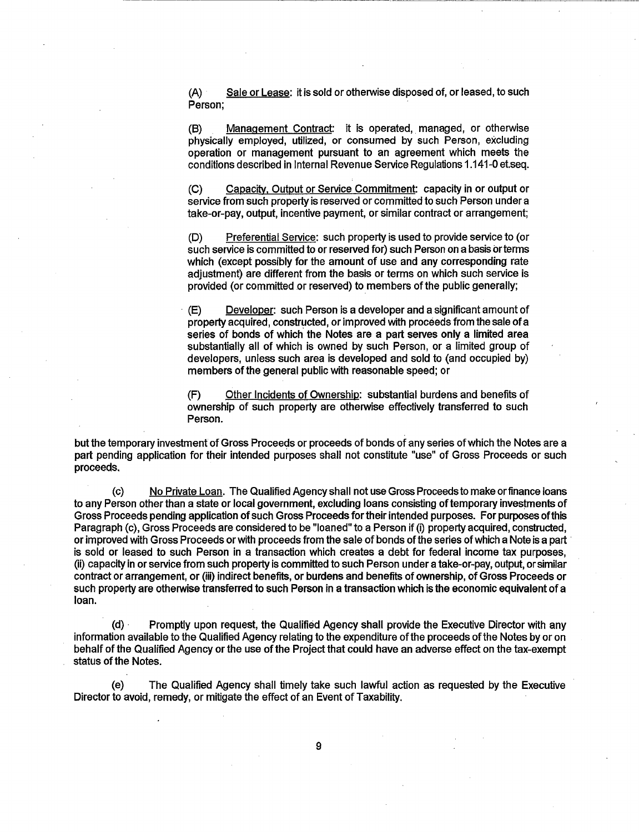(A) Sale or Lease: it is sold or otherwise disposed of, or leased, to such Person;

------------~------·---------------------~---

(B) Management Contract: it is operated, managed, or otherwise physically employed, utilized, or consumed by such Person, excluding operation or management pursuant to an agreement which meets the conditions described in Internal Revenue Service Regulations 1.141-0 et.seq.

(C) Capacitv. Output or Service Commitment: capacity in or output or service from such property is reserved or committed to such Person under a take-or-pay, output, incentive payment, or similar contract or arrangement;

(D) Preferential Service: such property is used to provide service to (or such service is committed to or reserved for) such Person on a basis or terms which (except possibly for the amount of use and any corresponding rate adjustment) are different from the basis or terms on which such service is provided (or committed or reserved) to members of the public generally;

· (E) Developer: such Person is a developer and a significant amount of property acquired, constructed, or improved with proceeds from the sale of a series of bonds of which the Notes are a part serves only a limited area substantially all of which is owned by such Person, or a limited group of developers, unless such area is developed and sold to (and occupied by) members of the general public with reasonable speed; or

(F) Other Incidents of Ownership: substantial burdens and benefits of ownership of such property are otherwise effectively transferred to such Person.

but the temporary investment of Gross Proceeds or proceeds of bonds of any series of which the Notes are a part pending application for their intended purposes shall not constitute "use" of Gross Proceeds or such proceeds.

(c) No Private Loan. The Qualified Agency shall not use Gross Proceeds to make or finance loans to any Person other than a state or local government, excluding loans consisting of temporary investments of Gross Proceeds pending application of such Gross Proceeds for their intended purposes. For purposes of this Paragraph (c), Gross Proceeds are considered to be "loaned" to a Person if (i) property acquired, constructed, or improved with Gross Proceeds or with proceeds from the sale of bonds of the series of which a Note is a part· is sold or leased to such Person in a transaction which creates a debt for federal income tax purposes, (ii) capacity in or service from such property is committed to such Person under a take-or-pay, output, or similar contract or arrangement, or (iii) indirect benefits, or burdens and benefits of ownership, of Gross Proceeds or such property are otherwise transferred to such Person in a transaction which is the economic equivalent of a loan.

(d) · Promptly upon request, the Qualified Agency shall provide the Executive Director with any information available to the Qualified Agency relating to the expenditure of the proceeds of the Notes by or on behalf of the Qualified Agency or the use of the Project that could have an adverse effect on the tax-exempt status of the Notes.

(e) The Qualified Agency shall timely take such lawful action as requested by the Executive Director to avoid, remedy, or mitigate the effect of an Event of Taxability.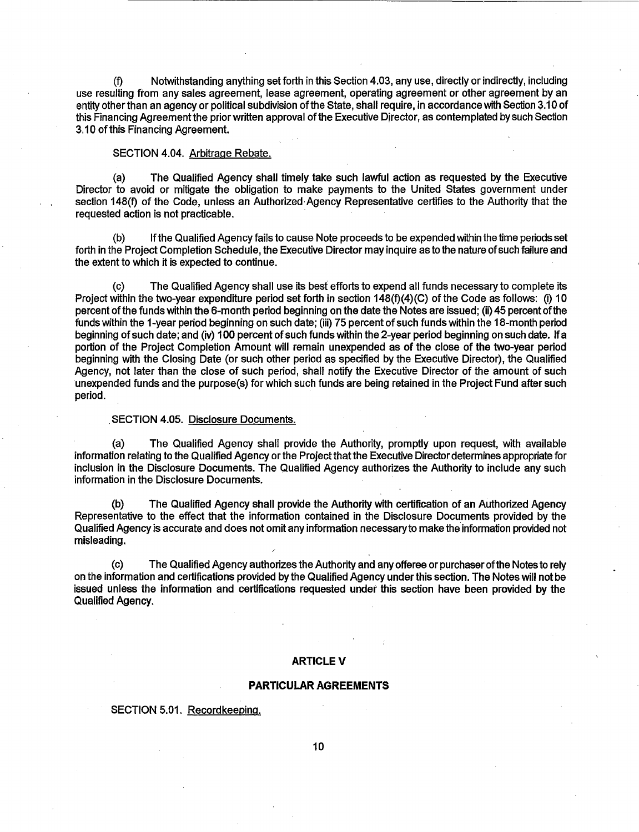Notwithstanding anything set forth in this Section 4.03, any use, directly or indirectly, including use resulting from any sales agreement, lease agreement, operating agreement or other agreement by an entity other than an agency or political subdivision of the State, shall require, in accordance with Section 3.10 of this Financing Agreement the prior written approval of the Executive Director, as contemplated by such Section 3.10 of this Financing Agreement.

#### SECTION 4.04. Arbitrage Rebate.

(a) The Qualified Agency shall timely take such lawful action as requested by the Executive Director to avoid or mitigate the obligation to make payments to the United States government under section 148(f) of the Code, unless an Authorized Agency Representative certifies to the Authority that the requested action is not practicable.

(b) If the Qualified Agency fails to cause Note proceeds to be expended within the time periods set forth in the Project Completion Schedule, the Executive Director may inquire as to the nature of such failure and the extent to which it is expected to continue.

The Qualified Agency shall use its best efforts to expend all funds necessary to complete its Project within the two-year expenditure period set forth in section 148(f)(4)(C) of the Code as follows: (i) 10 percent ofthe funds within the 6-month period beginning on the date the Notes are issued; (ii) 45 percent ofthe funds within the 1-year period beginning on such date; (iii) 75 percent of such funds within the 18-month period beginning of such date; and (iv) 1 00 percent of such funds within the 2-year period beginning on such date. If a portion of the Project Completion Amount will remain unexpended as of the close of the two-year period beginning with the Closing Date (or such other period as specified by the Executive Director), the Qualified Agency, not later than the close of such period, shall notify the Executive Director of the amount of such unexpended funds and the purpose(s) for which such funds are being retained in the Project Fund after such period.

#### . SECTION 4.05. Disclosure Documents.

(a) The Qualified Agency shall provide the Authority, promptly upon request, with available information relating to the Qualified Agency or the Project that the Executive Director determines appropriate for inclusion in the Disclosure Documents. The Qualified Agency authorizes the Authority to include any such information in the Disclosure Documents.

(b) The Qualified Agency shall provide the Authority with certification of an Authorized Agency Representative to the effect that the information contained in the Disclosure Documents provided by the Qualified Agency is accurate and does not omit any information necessary to make the information provided not misleading.

(c) The Qualified Agency authorizes the Authority and any offeree or purchaser of the Notes to rely on the information and certifications provided by the Qualified Agency under this section. The Notes will not be issued unless the information and certifications requested under this section have been provided by the Qualified Agency.

#### **ARTICLE V**

#### **PARTICULAR AGREEMENTS**

SECTION 5.01. Recordkeeping.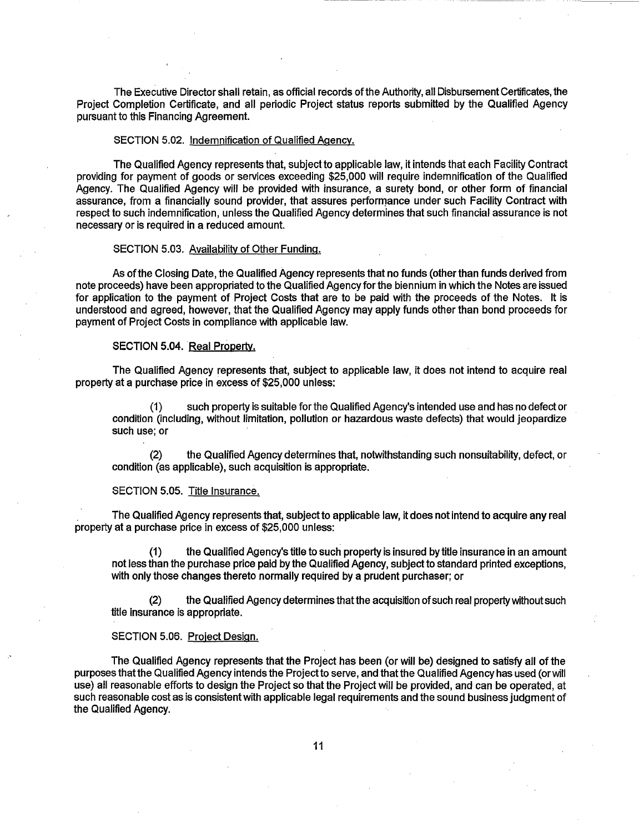The Executive Director shall retain, as official records of the Authority, all Disbursement Certificates, the Project Completion Certificate, and all periodic Project status reports submitted by the Qualified Agency pursuant to this Financing Agreement.

#### SECTION 5.02. Indemnification of Qualified Agency.

The Qualified Agency represents that, subject to applicable law, it intends that each Facility Contract providing for payment of goods or services exceeding \$25,000 will require indemnification of the Qualified Agency. The Qualified Agency will be provided with insurance, a surety bond, or other form of financial assurance, from a financially sound provider, that assures performance under such Facility Contract with respect to such indemnification, unless the Qualified Agency determines that such financial assurance is not necessary or is required in a reduced amount.

#### SECTION 5.03. Availability of Other Funding.

As of the Closing Date, the Qualified Agency represents that no funds (other than funds derived from note proceeds) have been appropriated to the Qualified Agency for the biennium in which the Notes are issued for application to the payment of Project Costs that are to be paid with the proceeds of the Notes. It is understood and agreed, however, that the Qualified Agency may apply funds other than bond proceeds for payment of Project Costs in compliance with applicable law.

#### SECTION 5.04. Real Propertv.

The Qualified Agency represents that, subject to applicable law, it does not intend to acquire real property at a purchase price in excess of \$25,000 unless:

(1) such property is suitable for the Qualified Agency's intended use and has no defect or condition (including, without limitation, pollution or hazardous waste defects) that would jeopardize such use; or

(2) the Qualified Agency determines that, notwithstanding such nonsuitability, defect, or condition (as applicable), such acquisition is appropriate.

#### SECTION 5.05. Title Insurance.

. The Qualified Agency represents that, subject to applicable law, it does not intend to acquire any real property at a purchase price in excess of \$25,000 unless:

(1) the Qualified Agency's title to such property is insured by title insurance in an amount not less than the purchase price paid by the Qualified Agency, subject to standard printed exceptions, with only those changes thereto normally required by a prudent purchaser; or

(2) the Qualified Agency determines that the acquisition of such real property without such title insurance is appropriate.

#### SECTION 5.06. Project Design.

The Qualified Agency represents that the Project has been (or will be) designed to satisfy all of the purposes that the Qualified Agency intends the Project to serve, and that the Qualified Agency has used (or will use) all reasonable efforts to design the Project so that the Project will be provided, and can be operated, at such reasonable cost as is consistent with applicable legal requirements and the sound business judgment of the Qualified Agency.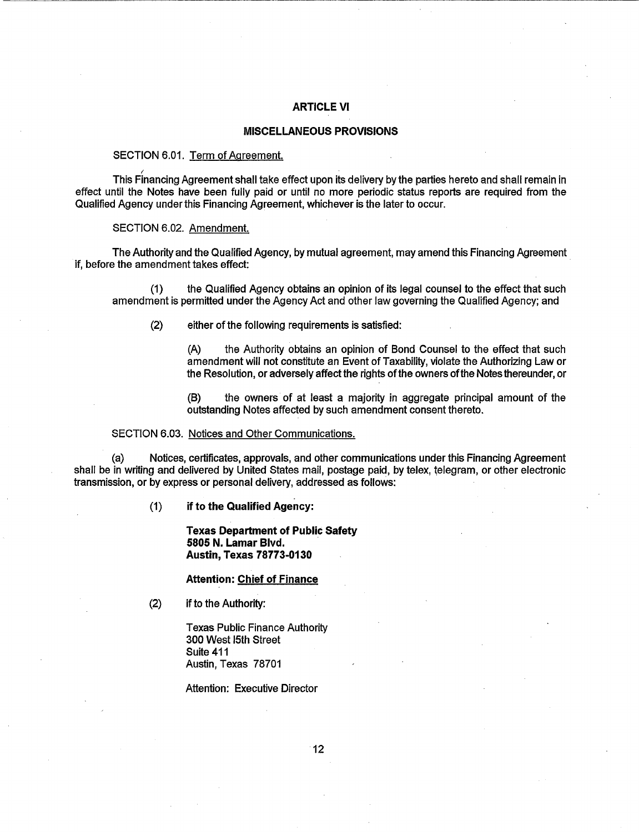## **ARTICLE VI**

## **MISCELLANEOUS PROVISIONS**

## SECTION 6.01. Term of Agreement.

~~~~~~~~~~~~~~----~--------------------

This Financing Agreement shall take effect upon its delivery by the parties hereto and shall remain in effect until the Notes have been fully paid or until no more periodic status reports are required from the Qualified Agency under this Financing Agreement, whichever is the later to occur.

SECTION 6.02. Amendment.

The Authority and the Qualified Agency, by mutual agreement, may amend this Financing Agreement if, before the amendment takes effect:

(1) the Qualified Agency obtains an opinion of its legal counsel to the effect that such amendment is permitted under the Agency Act and other law governing the Qualified Agency; and

(2) either of the following requirements is satisfied:

(A) the Authority obtains an opinion of Bond Counsel to the effect that such amendment will not constitute an Event of Taxability, violate the Authorizing Law or the Resolution, or adversely affect the rights of the owners of the Notes thereunder, or

(B) the owners of at least a majority in aggregate principal amount of the outstanding Notes affected by such amendment consent thereto.

#### SECTION 6.03. Notices and Other Communications.

(a) Notices, certificates, approvals, and other communications under this Financing Agreement shall be in writing and delivered by United States mail, postage paid, by telex, telegram, or other electronic transmission, or by express or personal delivery, addressed as follows:

(1) **if to the Qualified Agency:** 

**Texas Department of Public Safety 5805 N. Lamar Blvd.** · **Austin, Texas 78773-0130** 

#### **Attention: Chief of Finance**

(2) if to the Authority:

Texas Public Finance Authority 300 West 15th Street Suite 411 Austin, Texas 78701

Attention: Executive Director

12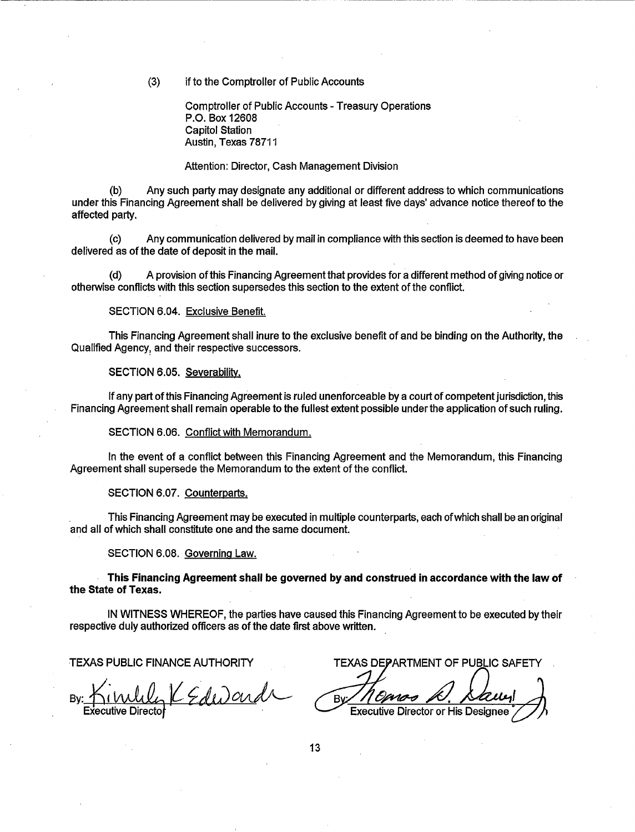(3) if to the Comptroller of Public Accounts

Comptroller of Public Accounts- Treasury Operations P.O. Box 12608 Capitol Station Austin, Texas 78711

#### Attention: Director, Cash Management Division

(b) Any such party may designate any additional or different address to which communications under this Financing Agreement shall be delivered by giving at least five days' advance notice thereof to the affected party.

(c) Any communication delivered by mail in compliance with this section is deemed to have been delivered as of the date of deposit in the mail.

(d) A provision of this Financing Agreement that provides for a different method of giving notice or otherwise conflicts with this section supersedes this section to the extent of the conflict.

SECTION 6.04. Exclusive Benefit.

This Financing Agreement shall inure to the exclusive benefit of and be binding on the Authority, the Qualified Agency, and their respective successors.

SECTION 6.05. Severabilitv.

----------------------

If any part of this Financing Agreement is ruled unenforceable by a court of competent jurisdiction, this Financing Agreement shall remain operable to the fullest extent possible under the application of such ruling.

SECTION 6.06. Conflict with Memorandum.

In the event of a conflict between this Financing Agreement and the Memorandum, this Financing Agreement shall supersede the Memorandum to the extent of the conflict.

SECTION 6.07. Counterparts.

This Financing Agreement may be executed in multiple counterparts, each of which shall be an original and all of which shall constitute one and the same document.

SECTION 6.08. Governing Law.

This Financing Agreement shall be governed by and construed in accordance with the law of the State of Texas.

IN WITNESS WHEREOF, the parties have caused this Financing Agreement to be executed by their respective duly authorized officers as of the date first above written.

Bv

TEXAS PUBLIC FINANCE AUTHORITY TEXAS DEPARTMENT OF PUBLIC SAFETY

anos A. Saun Bv.

13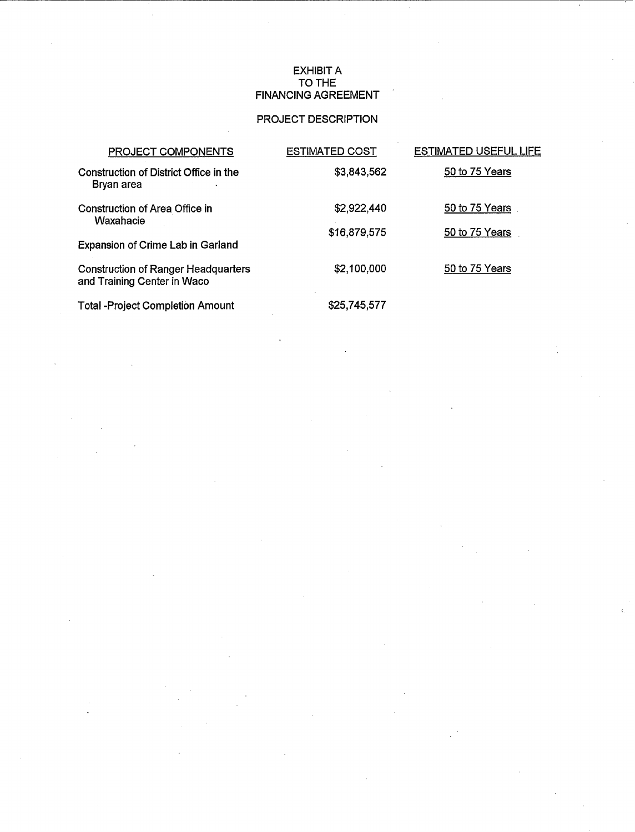## EXHIBIT A TO THE FINANCING AGREEMENT

# PROJECT DESCRIPTION

| PROJECT COMPONENTS                                                        | <b>ESTIMATED COST</b> | <b>ESTIMATED USEFUL LIFE</b> |
|---------------------------------------------------------------------------|-----------------------|------------------------------|
| Construction of District Office in the<br>Bryan area                      | \$3,843,562           | 50 to 75 Years               |
| <b>Construction of Area Office in</b><br>Waxahacie                        | \$2,922,440           | 50 to 75 Years               |
| <b>Expansion of Crime Lab in Garland</b>                                  | \$16,879,575          | 50 to 75 Years               |
| <b>Construction of Ranger Headquarters</b><br>and Training Center in Waco | \$2,100,000           | 50 to 75 Years               |
| <b>Total -Project Completion Amount</b>                                   | \$25,745,577          |                              |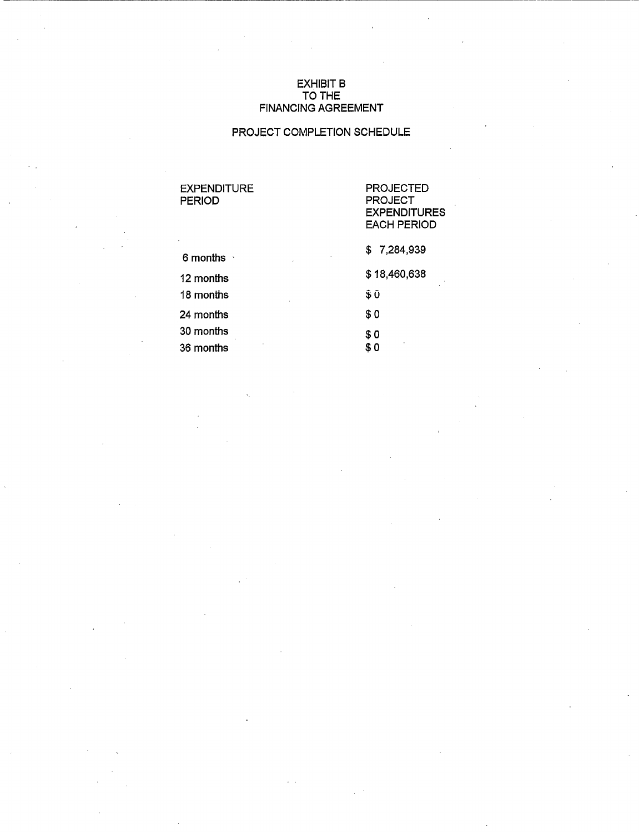## EXHIBIT B TO THE FINANCING AGREEMENT

## PROJECT COMPLETION SCHEDULE

# EXPENDITURE PROJECTED<br>
PERIOD PERIOD

# PROJECT **EXPENDITURES** EACH PERIOD

| 6 months  | \$7,284,939  |
|-----------|--------------|
| 12 months | \$18,460,638 |
| 18 months | \$ O         |
| 24 months | \$0          |
| 30 months | \$0          |
| 36 months | ٠<br>s o     |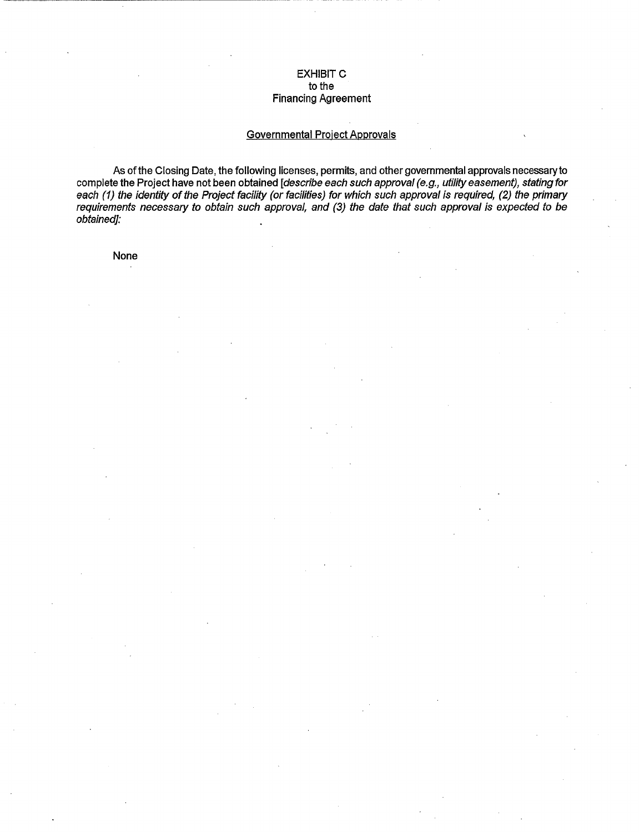## **EXHIBIT C** to the Financing Agreement

## Governmental Project Approvals

As of the Closing Date, the following licenses, permits, and other governmental approvals necessary to complete the Project have not been obtained [describe each such approval (e.g., utility easement), stating for each (1) the identity of the Project facility (or facilities) for which such approval is required, (2) the primary requirements necessary to obtain such approval, and (3) the date that such approval is expected to be obtained]:

None

 $\cdot$  . The contract of the contract of the contract of the contract of the contract of the contract of the contract of the contract of the contract of the contract of the contract of the contract of the contract of the co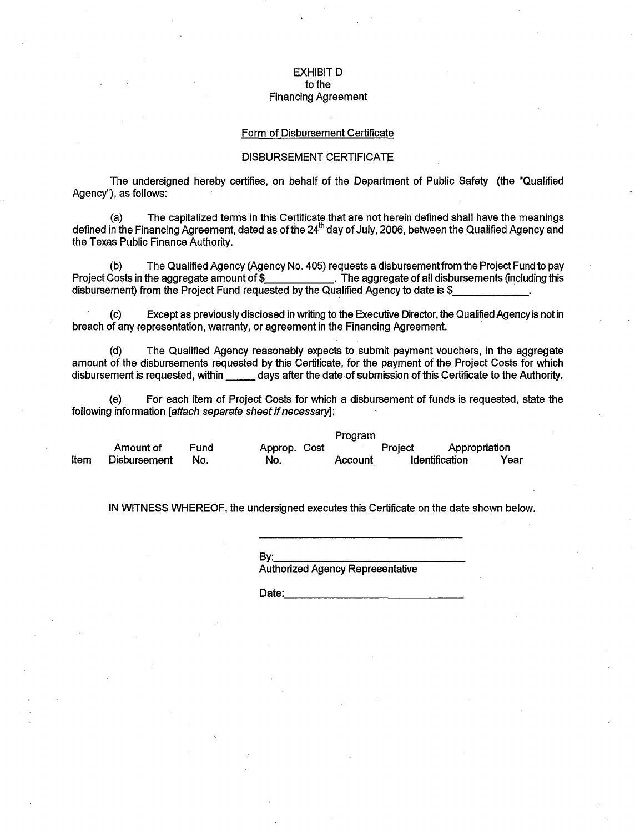#### EXHIBIT D to the Financing Agreement

#### Form of Disbursement Certificate

## DISBURSEMENT CERTIFICATE

The undersigned hereby certifies, on behalf of the Department of Public Safety (the "Qualified Agency"), as follows:

(a) The capitalized ternis in this Certificate that are not herein defined shall have the meanings defined in the Financing Agreement, dated as of the 24<sup>th</sup> day of July, 2006, between the Qualified Agency and the Texas Public Finance Authority.

(b) The Qualified Agency (Agency No. 405) requests a disbursementfrom the Project Fund to pay Project Costs in the aggregate amount of \$\_\_\_\_\_\_\_\_\_\_\_\_\_\_. The aggregate of all disbursements (including this disbursement) from the Project Fund requested by the Qualified Agency to date is \$

(c) Except as previously disclosed in writing to the Executive Director, the Qualified Agency is not in breach of any representation, warranty, or agreement in the Financing Agreement. ·

(d) The Qualified Agency reasonably expects to submit payment vouchers, in the aggregate amount of the disbursements requested by this Certificate, for the payment of the Project Costs for which disbursement is requested, within \_\_\_\_\_ days after the date of submission of this Certificate to the Authority.

(e) For each item of Project Costs for which a disbursement of funds is requested, state the following information *lattach separate sheet if necessary*];

Program Amount of Fund Approp. Cost Project Appropriation Item Disbursement No. No. Account Identification Year

IN WITNESS WHEREOF, the undersigned executes this Certificate on the date shown below.

By:.~~~--~--~~--- Authorized Agency Representative

Date: \_\_\_\_\_\_\_\_\_\_\_\_ \_\_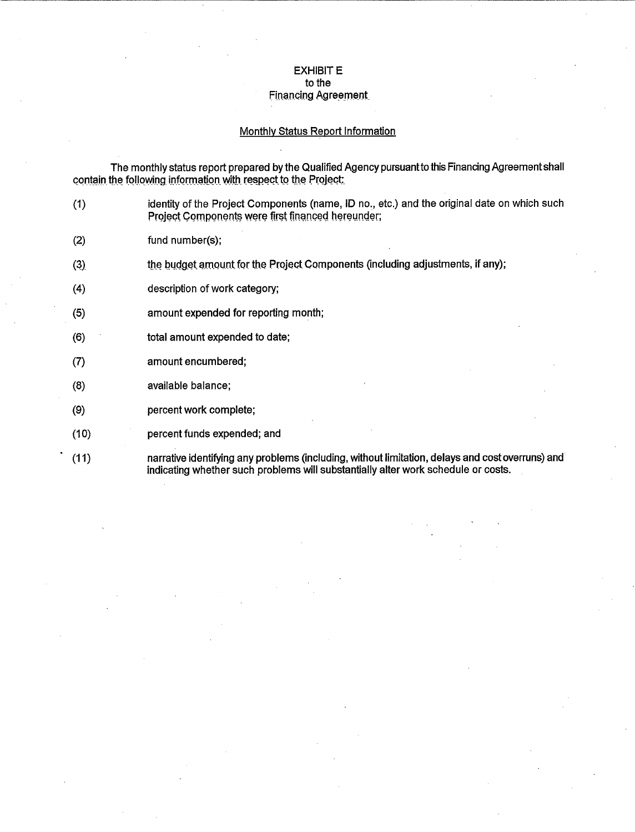## **EXHIBIT E** to the

# Financing Agreement

## Monthly Status Report Information

The monthly status report prepared by the Qualified Agency pursuant to this Financing Agreement shall contain the following information with respect to the Project:

- (1) identity of the Project Components (name, ID no., etc.) and the original date on which such Project Components were first financed hereunder;
- (2) fund number(s);
- $(3)$ the budget amount for the Project Components (including adjustments, if any);
- (4) description of work category;
- (5) amount expended for reporting month;
- (6) total amount expended to date;
- (7) amount encumbered;
- (8) available balance;
- (9) percent work complete;
- (10) percent funds expended; and
- (11) narrative identifying any problems (including, without limitation, delays and cost overruns) and indicating whether such problems will substantially alter work schedule or costs.